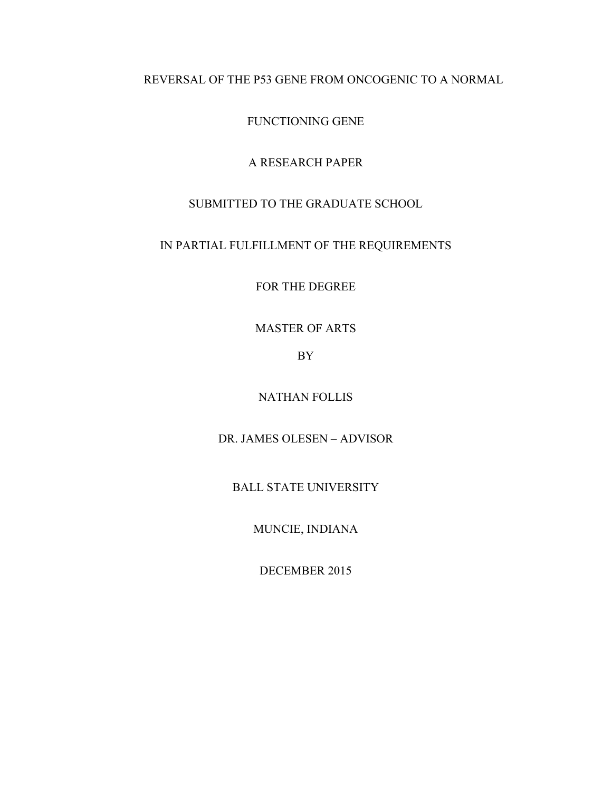## REVERSAL OF THE P53 GENE FROM ONCOGENIC TO A NORMAL

FUNCTIONING GENE

## A RESEARCH PAPER

# SUBMITTED TO THE GRADUATE SCHOOL

## IN PARTIAL FULFILLMENT OF THE REQUIREMENTS

FOR THE DEGREE

MASTER OF ARTS

BY

NATHAN FOLLIS

DR. JAMES OLESEN – ADVISOR

BALL STATE UNIVERSITY

MUNCIE, INDIANA

DECEMBER 2015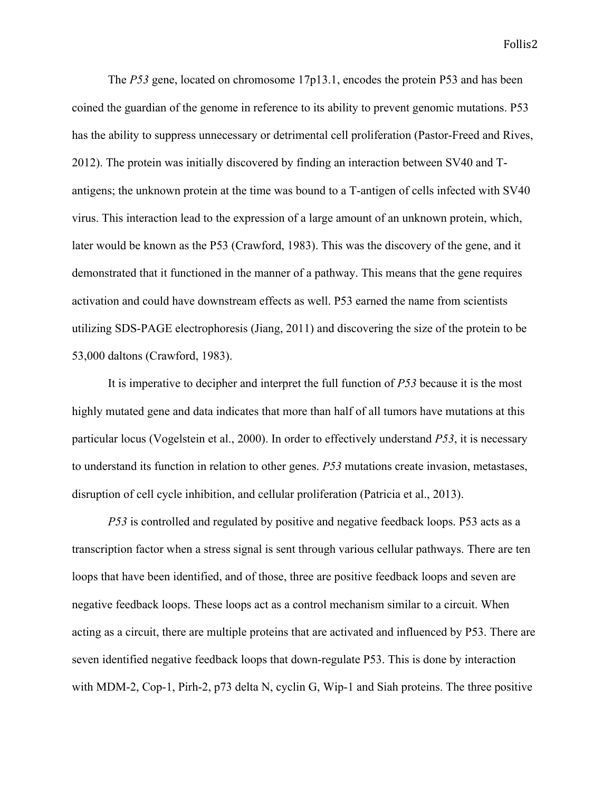The *P53* gene, located on chromosome 17p13.1, encodes the protein P53 and has been coined the guardian of the genome in reference to its ability to prevent genomic mutations. P53 has the ability to suppress unnecessary or detrimental cell proliferation (Pastor-Freed and Rives, 2012). The protein was initially discovered by finding an interaction between SV40 and Tantigens; the unknown protein at the time was bound to a T-antigen of cells infected with SV40 virus. This interaction lead to the expression of a large amount of an unknown protein, which, later would be known as the P53 (Crawford, 1983). This was the discovery of the gene, and it demonstrated that it functioned in the manner of a pathway. This means that the gene requires activation and could have downstream effects as well. P53 earned the name from scientists utilizing SDS-PAGE electrophoresis (Jiang, 2011) and discovering the size of the protein to be 53,000 daltons (Crawford, 1983).

It is imperative to decipher and interpret the full function of *P53* because it is the most highly mutated gene and data indicates that more than half of all tumors have mutations at this particular locus (Vogelstein et al., 2000). In order to effectively understand *P53*, it is necessary to understand its function in relation to other genes. *P53* mutations create invasion, metastases, disruption of cell cycle inhibition, and cellular proliferation (Patricia et al., 2013).

*P53* is controlled and regulated by positive and negative feedback loops. P53 acts as a transcription factor when a stress signal is sent through various cellular pathways. There are ten loops that have been identified, and of those, three are positive feedback loops and seven are negative feedback loops. These loops act as a control mechanism similar to a circuit. When acting as a circuit, there are multiple proteins that are activated and influenced by P53. There are seven identified negative feedback loops that down-regulate P53. This is done by interaction with MDM-2, Cop-1, Pirh-2, p73 delta N, cyclin G, Wip-1 and Siah proteins. The three positive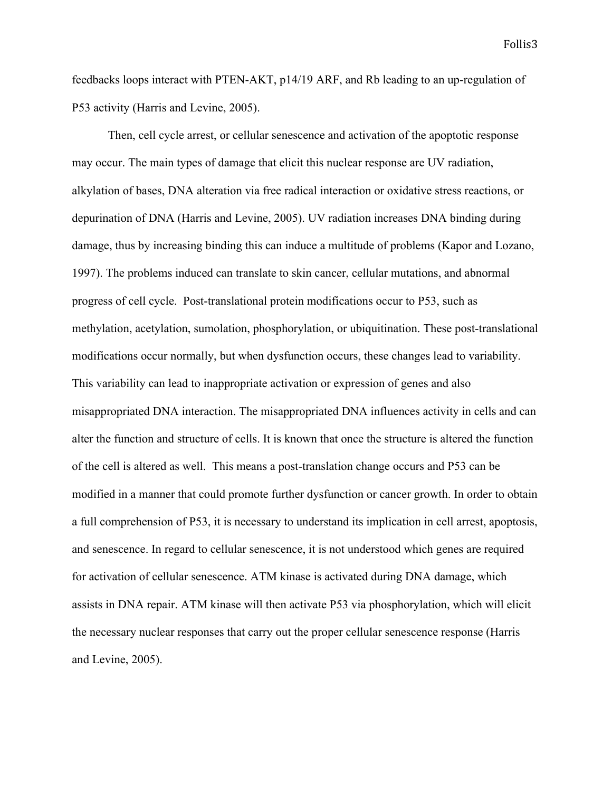feedbacks loops interact with PTEN-AKT, p14/19 ARF, and Rb leading to an up-regulation of P53 activity (Harris and Levine, 2005).

Then, cell cycle arrest, or cellular senescence and activation of the apoptotic response may occur. The main types of damage that elicit this nuclear response are UV radiation, alkylation of bases, DNA alteration via free radical interaction or oxidative stress reactions, or depurination of DNA (Harris and Levine, 2005). UV radiation increases DNA binding during damage, thus by increasing binding this can induce a multitude of problems (Kapor and Lozano, 1997). The problems induced can translate to skin cancer, cellular mutations, and abnormal progress of cell cycle. Post-translational protein modifications occur to P53, such as methylation, acetylation, sumolation, phosphorylation, or ubiquitination. These post-translational modifications occur normally, but when dysfunction occurs, these changes lead to variability. This variability can lead to inappropriate activation or expression of genes and also misappropriated DNA interaction. The misappropriated DNA influences activity in cells and can alter the function and structure of cells. It is known that once the structure is altered the function of the cell is altered as well. This means a post-translation change occurs and P53 can be modified in a manner that could promote further dysfunction or cancer growth. In order to obtain a full comprehension of P53, it is necessary to understand its implication in cell arrest, apoptosis, and senescence. In regard to cellular senescence, it is not understood which genes are required for activation of cellular senescence. ATM kinase is activated during DNA damage, which assists in DNA repair. ATM kinase will then activate P53 via phosphorylation, which will elicit the necessary nuclear responses that carry out the proper cellular senescence response (Harris and Levine, 2005).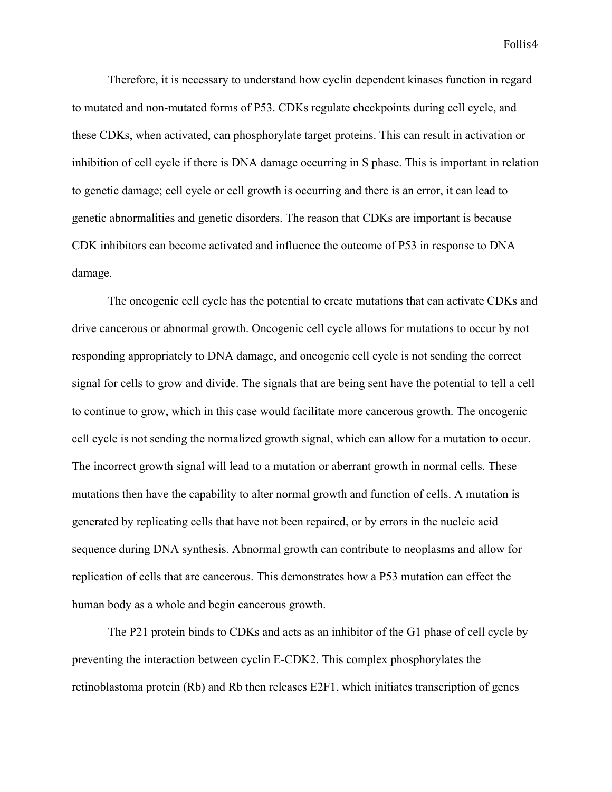Therefore, it is necessary to understand how cyclin dependent kinases function in regard to mutated and non-mutated forms of P53. CDKs regulate checkpoints during cell cycle, and these CDKs, when activated, can phosphorylate target proteins. This can result in activation or inhibition of cell cycle if there is DNA damage occurring in S phase. This is important in relation to genetic damage; cell cycle or cell growth is occurring and there is an error, it can lead to genetic abnormalities and genetic disorders. The reason that CDKs are important is because CDK inhibitors can become activated and influence the outcome of P53 in response to DNA damage.

The oncogenic cell cycle has the potential to create mutations that can activate CDKs and drive cancerous or abnormal growth. Oncogenic cell cycle allows for mutations to occur by not responding appropriately to DNA damage, and oncogenic cell cycle is not sending the correct signal for cells to grow and divide. The signals that are being sent have the potential to tell a cell to continue to grow, which in this case would facilitate more cancerous growth. The oncogenic cell cycle is not sending the normalized growth signal, which can allow for a mutation to occur. The incorrect growth signal will lead to a mutation or aberrant growth in normal cells. These mutations then have the capability to alter normal growth and function of cells. A mutation is generated by replicating cells that have not been repaired, or by errors in the nucleic acid sequence during DNA synthesis. Abnormal growth can contribute to neoplasms and allow for replication of cells that are cancerous. This demonstrates how a P53 mutation can effect the human body as a whole and begin cancerous growth.

The P21 protein binds to CDKs and acts as an inhibitor of the G1 phase of cell cycle by preventing the interaction between cyclin E-CDK2. This complex phosphorylates the retinoblastoma protein (Rb) and Rb then releases E2F1, which initiates transcription of genes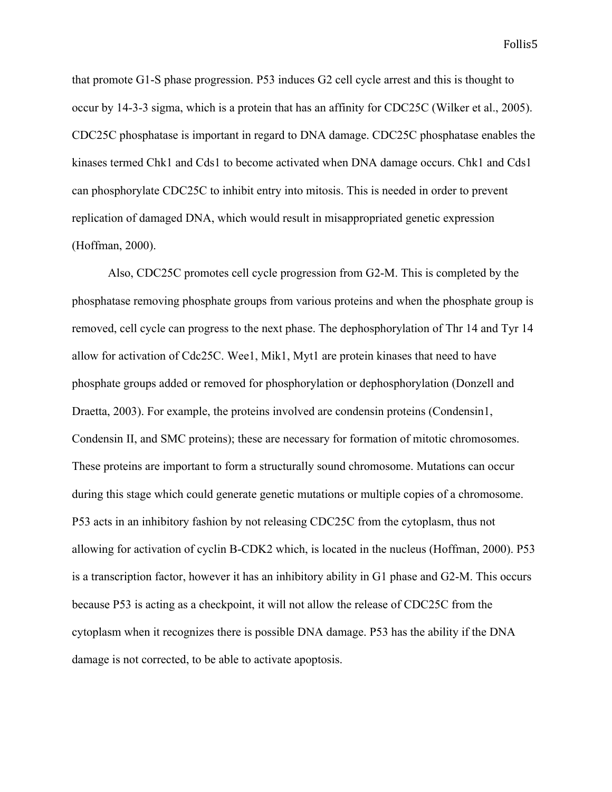that promote G1-S phase progression. P53 induces G2 cell cycle arrest and this is thought to occur by 14-3-3 sigma, which is a protein that has an affinity for CDC25C (Wilker et al., 2005). CDC25C phosphatase is important in regard to DNA damage. CDC25C phosphatase enables the kinases termed Chk1 and Cds1 to become activated when DNA damage occurs. Chk1 and Cds1 can phosphorylate CDC25C to inhibit entry into mitosis. This is needed in order to prevent replication of damaged DNA, which would result in misappropriated genetic expression (Hoffman, 2000).

Also, CDC25C promotes cell cycle progression from G2-M. This is completed by the phosphatase removing phosphate groups from various proteins and when the phosphate group is removed, cell cycle can progress to the next phase. The dephosphorylation of Thr 14 and Tyr 14 allow for activation of Cdc25C. Wee1, Mik1, Myt1 are protein kinases that need to have phosphate groups added or removed for phosphorylation or dephosphorylation (Donzell and Draetta, 2003). For example, the proteins involved are condensin proteins (Condensin1, Condensin II, and SMC proteins); these are necessary for formation of mitotic chromosomes. These proteins are important to form a structurally sound chromosome. Mutations can occur during this stage which could generate genetic mutations or multiple copies of a chromosome. P53 acts in an inhibitory fashion by not releasing CDC25C from the cytoplasm, thus not allowing for activation of cyclin B-CDK2 which, is located in the nucleus (Hoffman, 2000). P53 is a transcription factor, however it has an inhibitory ability in G1 phase and G2-M. This occurs because P53 is acting as a checkpoint, it will not allow the release of CDC25C from the cytoplasm when it recognizes there is possible DNA damage. P53 has the ability if the DNA damage is not corrected, to be able to activate apoptosis.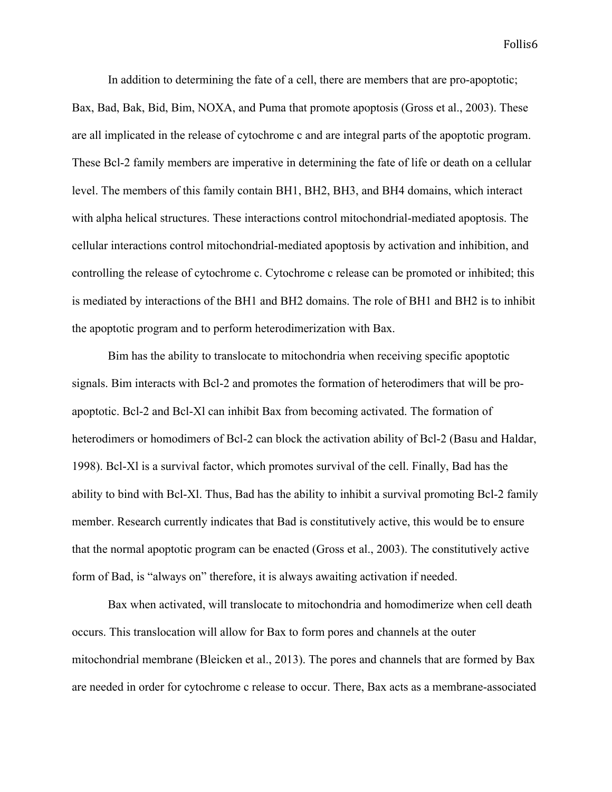In addition to determining the fate of a cell, there are members that are pro-apoptotic;

Bax, Bad, Bak, Bid, Bim, NOXA, and Puma that promote apoptosis (Gross et al., 2003). These are all implicated in the release of cytochrome c and are integral parts of the apoptotic program. These Bcl-2 family members are imperative in determining the fate of life or death on a cellular level. The members of this family contain BH1, BH2, BH3, and BH4 domains, which interact with alpha helical structures. These interactions control mitochondrial-mediated apoptosis. The cellular interactions control mitochondrial-mediated apoptosis by activation and inhibition, and controlling the release of cytochrome c. Cytochrome c release can be promoted or inhibited; this is mediated by interactions of the BH1 and BH2 domains. The role of BH1 and BH2 is to inhibit the apoptotic program and to perform heterodimerization with Bax.

Bim has the ability to translocate to mitochondria when receiving specific apoptotic signals. Bim interacts with Bcl-2 and promotes the formation of heterodimers that will be proapoptotic. Bcl-2 and Bcl-Xl can inhibit Bax from becoming activated. The formation of heterodimers or homodimers of Bcl-2 can block the activation ability of Bcl-2 (Basu and Haldar, 1998). Bcl-Xl is a survival factor, which promotes survival of the cell. Finally, Bad has the ability to bind with Bcl-Xl. Thus, Bad has the ability to inhibit a survival promoting Bcl-2 family member. Research currently indicates that Bad is constitutively active, this would be to ensure that the normal apoptotic program can be enacted (Gross et al., 2003). The constitutively active form of Bad, is "always on" therefore, it is always awaiting activation if needed.

Bax when activated, will translocate to mitochondria and homodimerize when cell death occurs. This translocation will allow for Bax to form pores and channels at the outer mitochondrial membrane (Bleicken et al., 2013). The pores and channels that are formed by Bax are needed in order for cytochrome c release to occur. There, Bax acts as a membrane-associated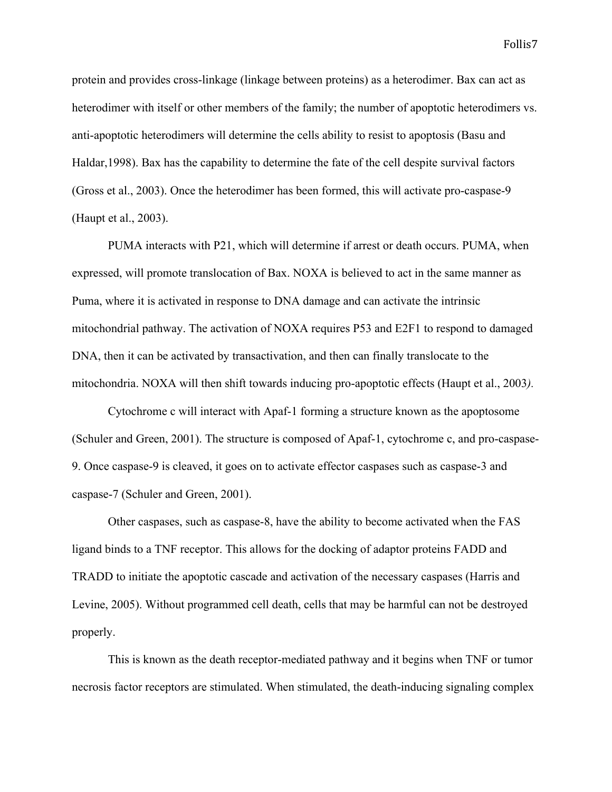protein and provides cross-linkage (linkage between proteins) as a heterodimer. Bax can act as heterodimer with itself or other members of the family; the number of apoptotic heterodimers vs. anti-apoptotic heterodimers will determine the cells ability to resist to apoptosis (Basu and Haldar,1998). Bax has the capability to determine the fate of the cell despite survival factors (Gross et al., 2003). Once the heterodimer has been formed, this will activate pro-caspase-9 (Haupt et al., 2003).

PUMA interacts with P21, which will determine if arrest or death occurs. PUMA, when expressed, will promote translocation of Bax. NOXA is believed to act in the same manner as Puma, where it is activated in response to DNA damage and can activate the intrinsic mitochondrial pathway. The activation of NOXA requires P53 and E2F1 to respond to damaged DNA, then it can be activated by transactivation, and then can finally translocate to the mitochondria. NOXA will then shift towards inducing pro-apoptotic effects (Haupt et al., 2003*).*

Cytochrome c will interact with Apaf-1 forming a structure known as the apoptosome (Schuler and Green, 2001). The structure is composed of Apaf-1, cytochrome c, and pro-caspase-9. Once caspase-9 is cleaved, it goes on to activate effector caspases such as caspase-3 and caspase-7 (Schuler and Green, 2001).

Other caspases, such as caspase-8, have the ability to become activated when the FAS ligand binds to a TNF receptor. This allows for the docking of adaptor proteins FADD and TRADD to initiate the apoptotic cascade and activation of the necessary caspases (Harris and Levine, 2005). Without programmed cell death, cells that may be harmful can not be destroyed properly.

This is known as the death receptor-mediated pathway and it begins when TNF or tumor necrosis factor receptors are stimulated. When stimulated, the death-inducing signaling complex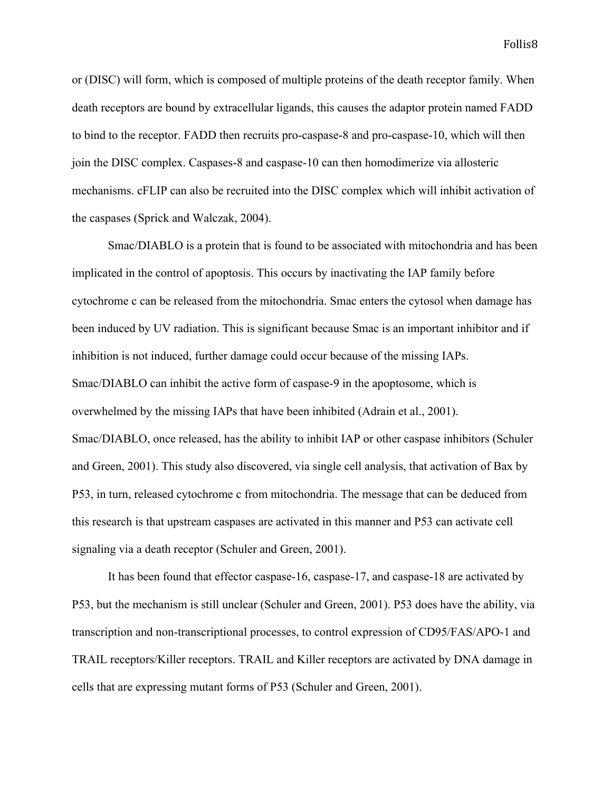or (DISC) will form, which is composed of multiple proteins of the death receptor family. When death receptors are bound by extracellular ligands, this causes the adaptor protein named FADD to bind to the receptor. FADD then recruits pro-caspase-8 and pro-caspase-10, which will then join the DISC complex. Caspases-8 and caspase-10 can then homodimerize via allosteric mechanisms. cFLIP can also be recruited into the DISC complex which will inhibit activation of the caspases (Sprick and Walczak, 2004).

Smac/DIABLO is a protein that is found to be associated with mitochondria and has been implicated in the control of apoptosis. This occurs by inactivating the IAP family before cytochrome c can be released from the mitochondria. Smac enters the cytosol when damage has been induced by UV radiation. This is significant because Smac is an important inhibitor and if inhibition is not induced, further damage could occur because of the missing IAPs. Smac/DIABLO can inhibit the active form of caspase-9 in the apoptosome, which is overwhelmed by the missing IAPs that have been inhibited (Adrain et al., 2001). Smac/DIABLO, once released, has the ability to inhibit IAP or other caspase inhibitors (Schuler and Green, 2001). This study also discovered, via single cell analysis, that activation of Bax by P53, in turn, released cytochrome c from mitochondria. The message that can be deduced from this research is that upstream caspases are activated in this manner and P53 can activate cell signaling via a death receptor (Schuler and Green, 2001).

It has been found that effector caspase-16, caspase-17, and caspase-18 are activated by P53, but the mechanism is still unclear (Schuler and Green, 2001). P53 does have the ability, via transcription and non-transcriptional processes, to control expression of CD95/FAS/APO-1 and TRAIL receptors/Killer receptors. TRAIL and Killer receptors are activated by DNA damage in cells that are expressing mutant forms of P53 (Schuler and Green, 2001).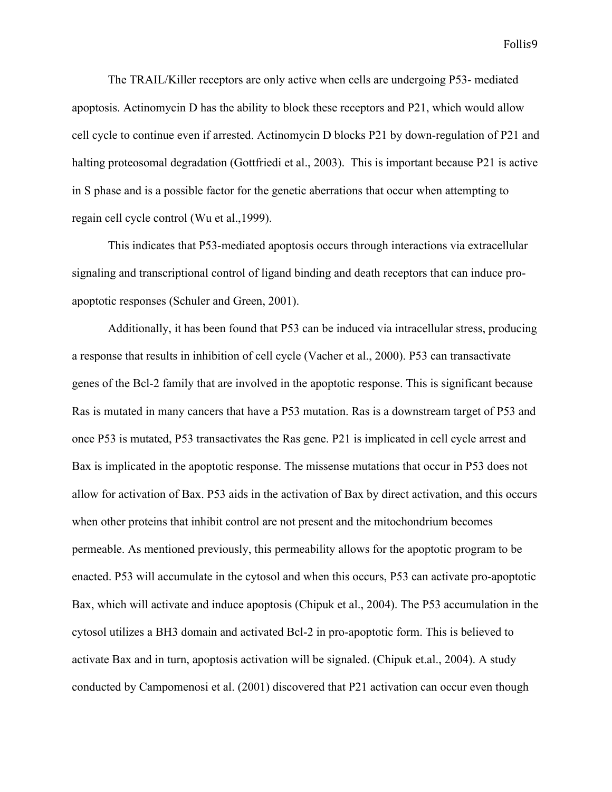The TRAIL/Killer receptors are only active when cells are undergoing P53- mediated apoptosis. Actinomycin D has the ability to block these receptors and P21, which would allow cell cycle to continue even if arrested. Actinomycin D blocks P21 by down-regulation of P21 and halting proteosomal degradation (Gottfriedi et al., 2003). This is important because P21 is active in S phase and is a possible factor for the genetic aberrations that occur when attempting to regain cell cycle control (Wu et al.,1999).

This indicates that P53-mediated apoptosis occurs through interactions via extracellular signaling and transcriptional control of ligand binding and death receptors that can induce proapoptotic responses (Schuler and Green, 2001).

Additionally, it has been found that P53 can be induced via intracellular stress, producing a response that results in inhibition of cell cycle (Vacher et al., 2000). P53 can transactivate genes of the Bcl-2 family that are involved in the apoptotic response. This is significant because Ras is mutated in many cancers that have a P53 mutation. Ras is a downstream target of P53 and once P53 is mutated, P53 transactivates the Ras gene. P21 is implicated in cell cycle arrest and Bax is implicated in the apoptotic response. The missense mutations that occur in P53 does not allow for activation of Bax. P53 aids in the activation of Bax by direct activation, and this occurs when other proteins that inhibit control are not present and the mitochondrium becomes permeable. As mentioned previously, this permeability allows for the apoptotic program to be enacted. P53 will accumulate in the cytosol and when this occurs, P53 can activate pro-apoptotic Bax, which will activate and induce apoptosis (Chipuk et al., 2004). The P53 accumulation in the cytosol utilizes a BH3 domain and activated Bcl-2 in pro-apoptotic form. This is believed to activate Bax and in turn, apoptosis activation will be signaled. (Chipuk et.al., 2004). A study conducted by Campomenosi et al. (2001) discovered that P21 activation can occur even though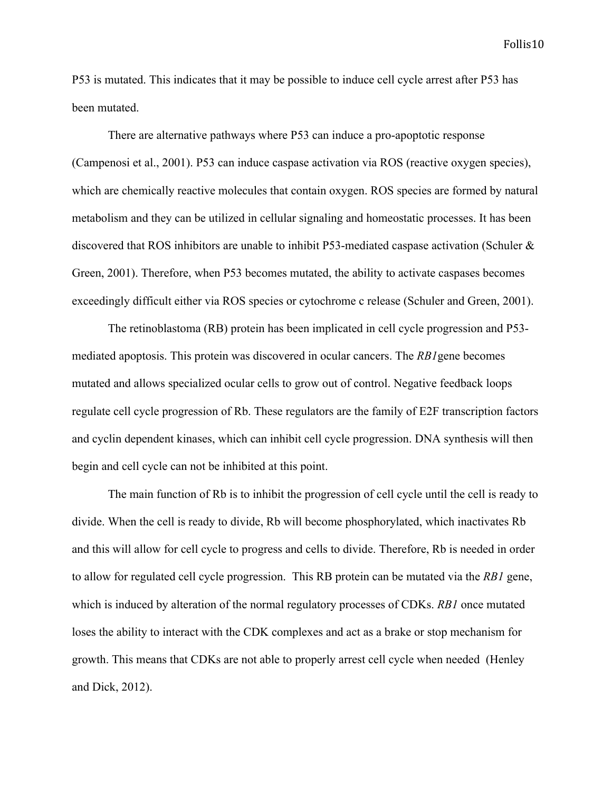P53 is mutated. This indicates that it may be possible to induce cell cycle arrest after P53 has been mutated.

There are alternative pathways where P53 can induce a pro-apoptotic response (Campenosi et al., 2001). P53 can induce caspase activation via ROS (reactive oxygen species), which are chemically reactive molecules that contain oxygen. ROS species are formed by natural metabolism and they can be utilized in cellular signaling and homeostatic processes. It has been discovered that ROS inhibitors are unable to inhibit P53-mediated caspase activation (Schuler & Green, 2001). Therefore, when P53 becomes mutated, the ability to activate caspases becomes exceedingly difficult either via ROS species or cytochrome c release (Schuler and Green, 2001).

The retinoblastoma (RB) protein has been implicated in cell cycle progression and P53 mediated apoptosis. This protein was discovered in ocular cancers. The *RB1*gene becomes mutated and allows specialized ocular cells to grow out of control. Negative feedback loops regulate cell cycle progression of Rb. These regulators are the family of E2F transcription factors and cyclin dependent kinases, which can inhibit cell cycle progression. DNA synthesis will then begin and cell cycle can not be inhibited at this point.

The main function of Rb is to inhibit the progression of cell cycle until the cell is ready to divide. When the cell is ready to divide, Rb will become phosphorylated, which inactivates Rb and this will allow for cell cycle to progress and cells to divide. Therefore, Rb is needed in order to allow for regulated cell cycle progression. This RB protein can be mutated via the *RB1* gene, which is induced by alteration of the normal regulatory processes of CDKs. *RB1* once mutated loses the ability to interact with the CDK complexes and act as a brake or stop mechanism for growth. This means that CDKs are not able to properly arrest cell cycle when needed (Henley and Dick, 2012).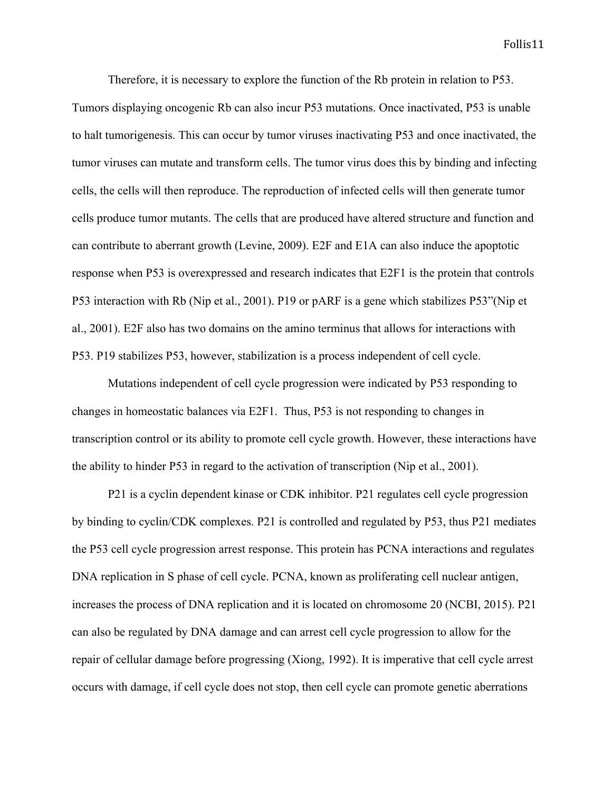Therefore, it is necessary to explore the function of the Rb protein in relation to P53. Tumors displaying oncogenic Rb can also incur P53 mutations. Once inactivated, P53 is unable to halt tumorigenesis. This can occur by tumor viruses inactivating P53 and once inactivated, the tumor viruses can mutate and transform cells. The tumor virus does this by binding and infecting cells, the cells will then reproduce. The reproduction of infected cells will then generate tumor cells produce tumor mutants. The cells that are produced have altered structure and function and can contribute to aberrant growth (Levine, 2009). E2F and E1A can also induce the apoptotic response when P53 is overexpressed and research indicates that E2F1 is the protein that controls P53 interaction with Rb (Nip et al., 2001). P19 or pARF is a gene which stabilizes P53"(Nip et al., 2001). E2F also has two domains on the amino terminus that allows for interactions with P53. P19 stabilizes P53, however, stabilization is a process independent of cell cycle.

Mutations independent of cell cycle progression were indicated by P53 responding to changes in homeostatic balances via E2F1. Thus, P53 is not responding to changes in transcription control or its ability to promote cell cycle growth. However, these interactions have the ability to hinder P53 in regard to the activation of transcription (Nip et al., 2001).

P21 is a cyclin dependent kinase or CDK inhibitor. P21 regulates cell cycle progression by binding to cyclin/CDK complexes. P21 is controlled and regulated by P53, thus P21 mediates the P53 cell cycle progression arrest response. This protein has PCNA interactions and regulates DNA replication in S phase of cell cycle. PCNA, known as proliferating cell nuclear antigen, increases the process of DNA replication and it is located on chromosome 20 (NCBI, 2015). P21 can also be regulated by DNA damage and can arrest cell cycle progression to allow for the repair of cellular damage before progressing (Xiong, 1992). It is imperative that cell cycle arrest occurs with damage, if cell cycle does not stop, then cell cycle can promote genetic aberrations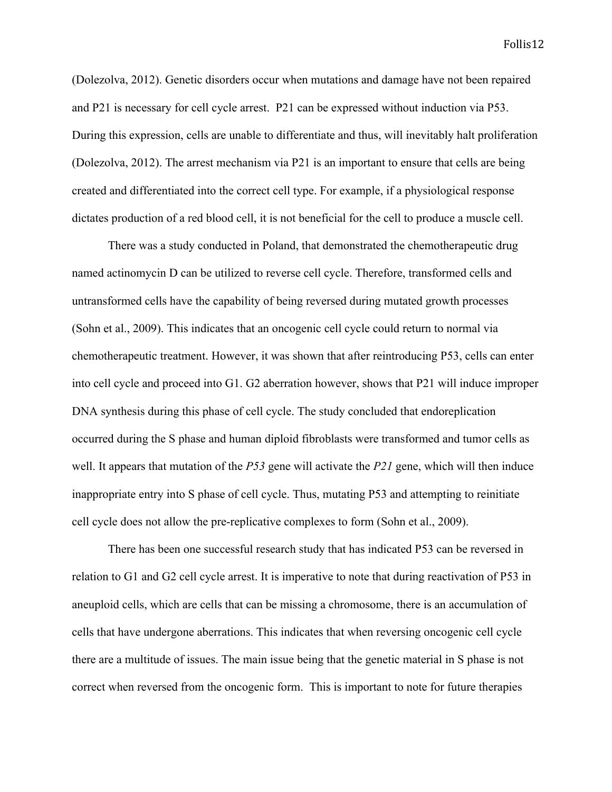(Dolezolva, 2012). Genetic disorders occur when mutations and damage have not been repaired and P21 is necessary for cell cycle arrest. P21 can be expressed without induction via P53. During this expression, cells are unable to differentiate and thus, will inevitably halt proliferation (Dolezolva, 2012). The arrest mechanism via P21 is an important to ensure that cells are being created and differentiated into the correct cell type. For example, if a physiological response dictates production of a red blood cell, it is not beneficial for the cell to produce a muscle cell.

There was a study conducted in Poland, that demonstrated the chemotherapeutic drug named actinomycin D can be utilized to reverse cell cycle. Therefore, transformed cells and untransformed cells have the capability of being reversed during mutated growth processes (Sohn et al., 2009). This indicates that an oncogenic cell cycle could return to normal via chemotherapeutic treatment. However, it was shown that after reintroducing P53, cells can enter into cell cycle and proceed into G1. G2 aberration however, shows that P21 will induce improper DNA synthesis during this phase of cell cycle. The study concluded that endoreplication occurred during the S phase and human diploid fibroblasts were transformed and tumor cells as well. It appears that mutation of the *P53* gene will activate the *P21* gene, which will then induce inappropriate entry into S phase of cell cycle. Thus, mutating P53 and attempting to reinitiate cell cycle does not allow the pre-replicative complexes to form (Sohn et al., 2009).

There has been one successful research study that has indicated P53 can be reversed in relation to G1 and G2 cell cycle arrest. It is imperative to note that during reactivation of P53 in aneuploid cells, which are cells that can be missing a chromosome, there is an accumulation of cells that have undergone aberrations. This indicates that when reversing oncogenic cell cycle there are a multitude of issues. The main issue being that the genetic material in S phase is not correct when reversed from the oncogenic form. This is important to note for future therapies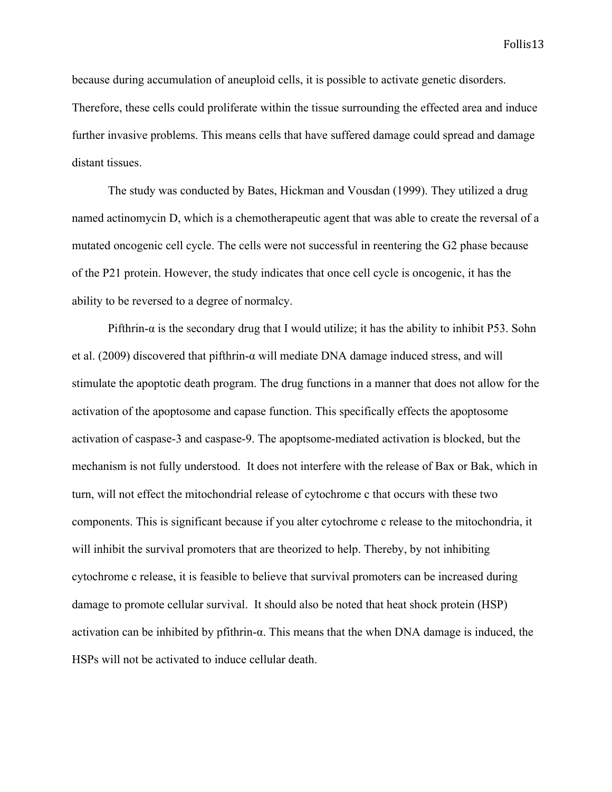because during accumulation of aneuploid cells, it is possible to activate genetic disorders. Therefore, these cells could proliferate within the tissue surrounding the effected area and induce further invasive problems. This means cells that have suffered damage could spread and damage distant tissues.

The study was conducted by Bates, Hickman and Vousdan (1999). They utilized a drug named actinomycin D, which is a chemotherapeutic agent that was able to create the reversal of a mutated oncogenic cell cycle. The cells were not successful in reentering the G2 phase because of the P21 protein. However, the study indicates that once cell cycle is oncogenic, it has the ability to be reversed to a degree of normalcy.

Pifthrin- $\alpha$  is the secondary drug that I would utilize; it has the ability to inhibit P53. Sohn et al. (2009) discovered that pifthrin- $\alpha$  will mediate DNA damage induced stress, and will stimulate the apoptotic death program. The drug functions in a manner that does not allow for the activation of the apoptosome and capase function. This specifically effects the apoptosome activation of caspase-3 and caspase-9. The apoptsome-mediated activation is blocked, but the mechanism is not fully understood. It does not interfere with the release of Bax or Bak, which in turn, will not effect the mitochondrial release of cytochrome c that occurs with these two components. This is significant because if you alter cytochrome c release to the mitochondria, it will inhibit the survival promoters that are theorized to help. Thereby, by not inhibiting cytochrome c release, it is feasible to believe that survival promoters can be increased during damage to promote cellular survival. It should also be noted that heat shock protein (HSP) activation can be inhibited by pfithrin-α. This means that the when DNA damage is induced, the HSPs will not be activated to induce cellular death.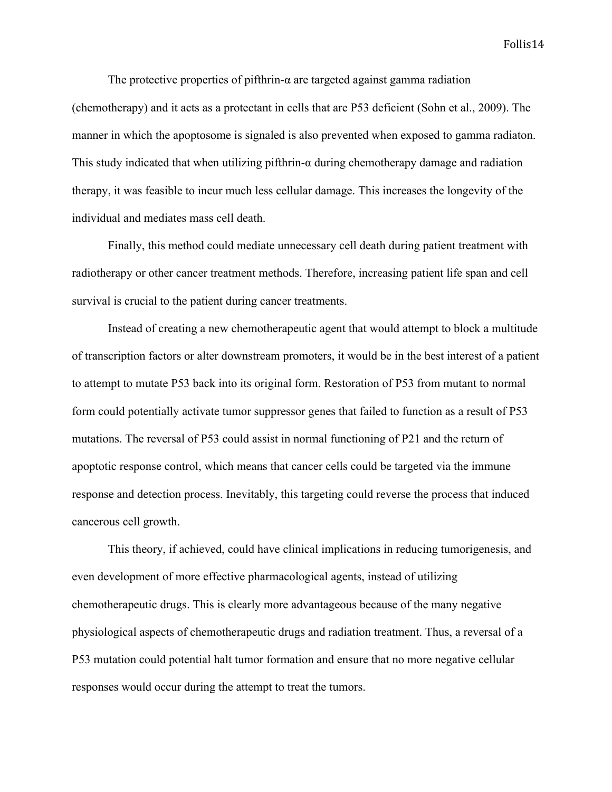The protective properties of pifthrin- $\alpha$  are targeted against gamma radiation (chemotherapy) and it acts as a protectant in cells that are P53 deficient (Sohn et al., 2009). The manner in which the apoptosome is signaled is also prevented when exposed to gamma radiaton. This study indicated that when utilizing pifthrin- $\alpha$  during chemotherapy damage and radiation therapy, it was feasible to incur much less cellular damage. This increases the longevity of the individual and mediates mass cell death.

Finally, this method could mediate unnecessary cell death during patient treatment with radiotherapy or other cancer treatment methods. Therefore, increasing patient life span and cell survival is crucial to the patient during cancer treatments.

Instead of creating a new chemotherapeutic agent that would attempt to block a multitude of transcription factors or alter downstream promoters, it would be in the best interest of a patient to attempt to mutate P53 back into its original form. Restoration of P53 from mutant to normal form could potentially activate tumor suppressor genes that failed to function as a result of P53 mutations. The reversal of P53 could assist in normal functioning of P21 and the return of apoptotic response control, which means that cancer cells could be targeted via the immune response and detection process. Inevitably, this targeting could reverse the process that induced cancerous cell growth.

This theory, if achieved, could have clinical implications in reducing tumorigenesis, and even development of more effective pharmacological agents, instead of utilizing chemotherapeutic drugs. This is clearly more advantageous because of the many negative physiological aspects of chemotherapeutic drugs and radiation treatment. Thus, a reversal of a P53 mutation could potential halt tumor formation and ensure that no more negative cellular responses would occur during the attempt to treat the tumors.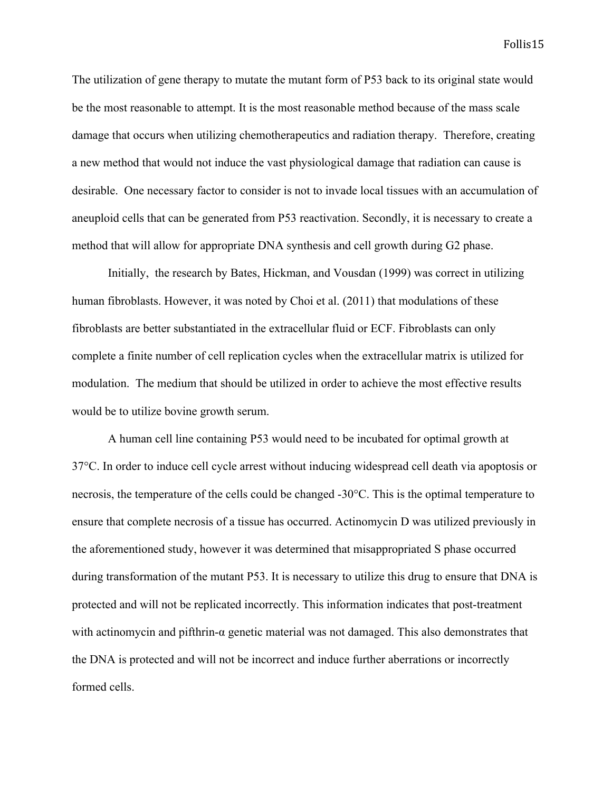The utilization of gene therapy to mutate the mutant form of P53 back to its original state would be the most reasonable to attempt. It is the most reasonable method because of the mass scale damage that occurs when utilizing chemotherapeutics and radiation therapy. Therefore, creating a new method that would not induce the vast physiological damage that radiation can cause is desirable. One necessary factor to consider is not to invade local tissues with an accumulation of aneuploid cells that can be generated from P53 reactivation. Secondly, it is necessary to create a method that will allow for appropriate DNA synthesis and cell growth during G2 phase.

Initially, the research by Bates, Hickman, and Vousdan (1999) was correct in utilizing human fibroblasts. However, it was noted by Choi et al. (2011) that modulations of these fibroblasts are better substantiated in the extracellular fluid or ECF. Fibroblasts can only complete a finite number of cell replication cycles when the extracellular matrix is utilized for modulation. The medium that should be utilized in order to achieve the most effective results would be to utilize bovine growth serum.

A human cell line containing P53 would need to be incubated for optimal growth at 37°C. In order to induce cell cycle arrest without inducing widespread cell death via apoptosis or necrosis, the temperature of the cells could be changed -30°C. This is the optimal temperature to ensure that complete necrosis of a tissue has occurred. Actinomycin D was utilized previously in the aforementioned study, however it was determined that misappropriated S phase occurred during transformation of the mutant P53. It is necessary to utilize this drug to ensure that DNA is protected and will not be replicated incorrectly. This information indicates that post-treatment with actinomycin and pifthrin-α genetic material was not damaged. This also demonstrates that the DNA is protected and will not be incorrect and induce further aberrations or incorrectly formed cells.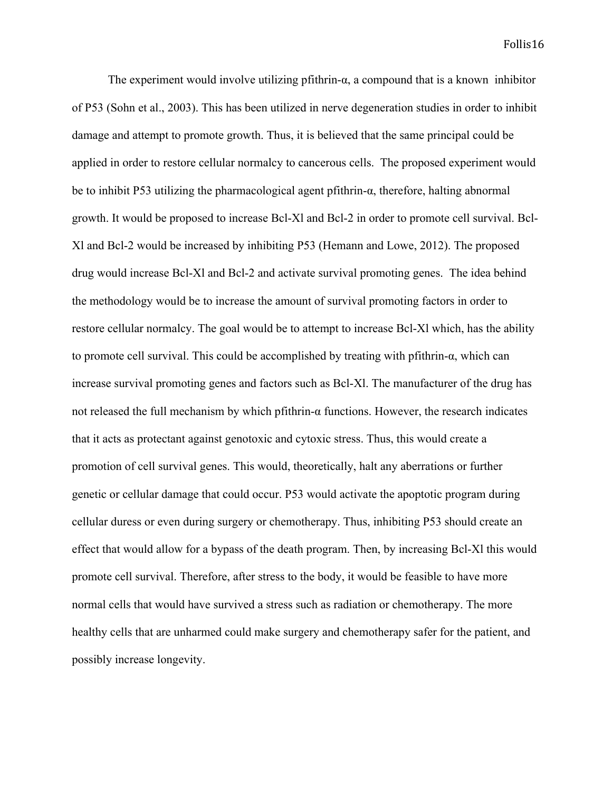The experiment would involve utilizing pfithrin- $\alpha$ , a compound that is a known inhibitor of P53 (Sohn et al., 2003). This has been utilized in nerve degeneration studies in order to inhibit damage and attempt to promote growth. Thus, it is believed that the same principal could be applied in order to restore cellular normalcy to cancerous cells. The proposed experiment would be to inhibit P53 utilizing the pharmacological agent pfithrin-α, therefore, halting abnormal growth. It would be proposed to increase Bcl-Xl and Bcl-2 in order to promote cell survival. Bcl-Xl and Bcl-2 would be increased by inhibiting P53 (Hemann and Lowe, 2012). The proposed drug would increase Bcl-Xl and Bcl-2 and activate survival promoting genes. The idea behind the methodology would be to increase the amount of survival promoting factors in order to restore cellular normalcy. The goal would be to attempt to increase Bcl-Xl which, has the ability to promote cell survival. This could be accomplished by treating with pfithrin- $\alpha$ , which can increase survival promoting genes and factors such as Bcl-Xl. The manufacturer of the drug has not released the full mechanism by which pfithrin-α functions. However, the research indicates that it acts as protectant against genotoxic and cytoxic stress. Thus, this would create a promotion of cell survival genes. This would, theoretically, halt any aberrations or further genetic or cellular damage that could occur. P53 would activate the apoptotic program during cellular duress or even during surgery or chemotherapy. Thus, inhibiting P53 should create an effect that would allow for a bypass of the death program. Then, by increasing Bcl-Xl this would promote cell survival. Therefore, after stress to the body, it would be feasible to have more normal cells that would have survived a stress such as radiation or chemotherapy. The more healthy cells that are unharmed could make surgery and chemotherapy safer for the patient, and possibly increase longevity.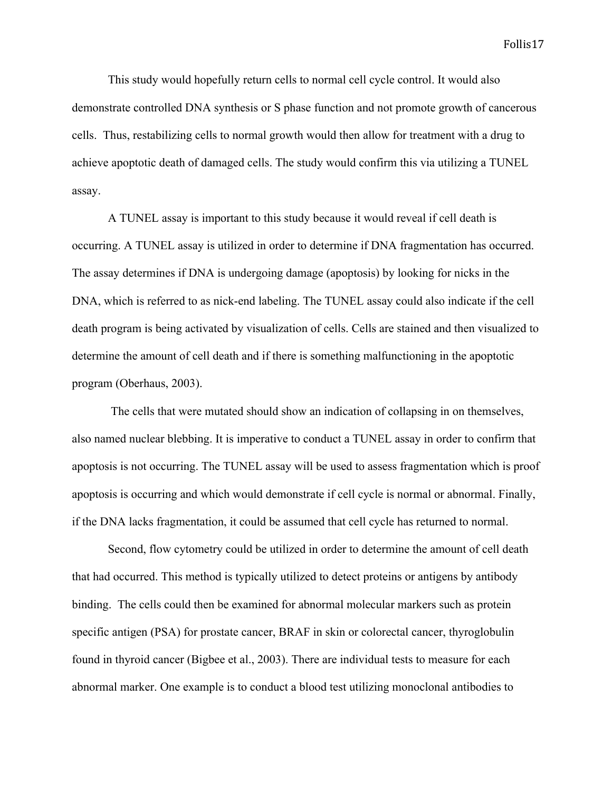This study would hopefully return cells to normal cell cycle control. It would also demonstrate controlled DNA synthesis or S phase function and not promote growth of cancerous cells. Thus, restabilizing cells to normal growth would then allow for treatment with a drug to achieve apoptotic death of damaged cells. The study would confirm this via utilizing a TUNEL assay.

A TUNEL assay is important to this study because it would reveal if cell death is occurring. A TUNEL assay is utilized in order to determine if DNA fragmentation has occurred. The assay determines if DNA is undergoing damage (apoptosis) by looking for nicks in the DNA, which is referred to as nick-end labeling. The TUNEL assay could also indicate if the cell death program is being activated by visualization of cells. Cells are stained and then visualized to determine the amount of cell death and if there is something malfunctioning in the apoptotic program (Oberhaus, 2003).

The cells that were mutated should show an indication of collapsing in on themselves, also named nuclear blebbing. It is imperative to conduct a TUNEL assay in order to confirm that apoptosis is not occurring. The TUNEL assay will be used to assess fragmentation which is proof apoptosis is occurring and which would demonstrate if cell cycle is normal or abnormal. Finally, if the DNA lacks fragmentation, it could be assumed that cell cycle has returned to normal.

Second, flow cytometry could be utilized in order to determine the amount of cell death that had occurred. This method is typically utilized to detect proteins or antigens by antibody binding. The cells could then be examined for abnormal molecular markers such as protein specific antigen (PSA) for prostate cancer, BRAF in skin or colorectal cancer, thyroglobulin found in thyroid cancer (Bigbee et al., 2003). There are individual tests to measure for each abnormal marker. One example is to conduct a blood test utilizing monoclonal antibodies to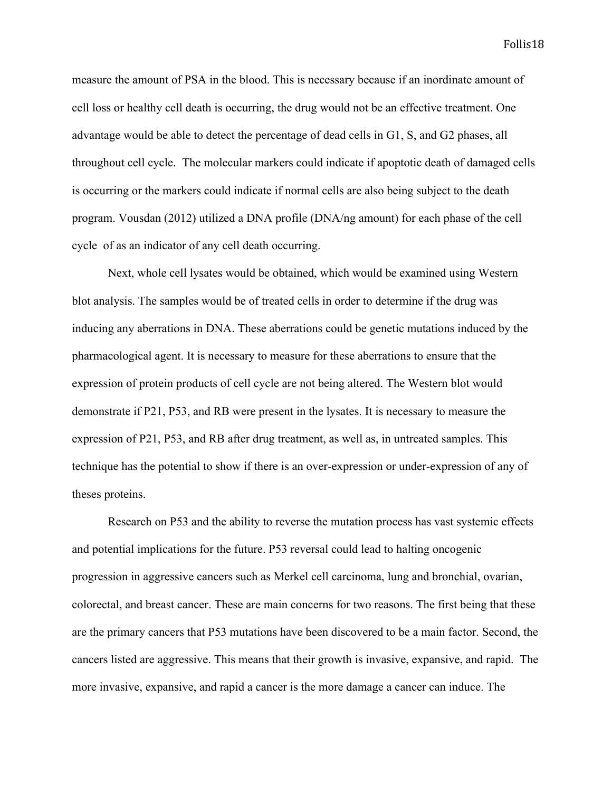measure the amount of PSA in the blood. This is necessary because if an inordinate amount of cell loss or healthy cell death is occurring, the drug would not be an effective treatment. One advantage would be able to detect the percentage of dead cells in G1, S, and G2 phases, all throughout cell cycle. The molecular markers could indicate if apoptotic death of damaged cells is occurring or the markers could indicate if normal cells are also being subject to the death program. Vousdan (2012) utilized a DNA profile (DNA/ng amount) for each phase of the cell cycle of as an indicator of any cell death occurring.

Next, whole cell lysates would be obtained, which would be examined using Western blot analysis. The samples would be of treated cells in order to determine if the drug was inducing any aberrations in DNA. These aberrations could be genetic mutations induced by the pharmacological agent. It is necessary to measure for these aberrations to ensure that the expression of protein products of cell cycle are not being altered. The Western blot would demonstrate if P21, P53, and RB were present in the lysates. It is necessary to measure the expression of P21, P53, and RB after drug treatment, as well as, in untreated samples. This technique has the potential to show if there is an over-expression or under-expression of any of theses proteins.

Research on P53 and the ability to reverse the mutation process has vast systemic effects and potential implications for the future. P53 reversal could lead to halting oncogenic progression in aggressive cancers such as Merkel cell carcinoma, lung and bronchial, ovarian, colorectal, and breast cancer. These are main concerns for two reasons. The first being that these are the primary cancers that P53 mutations have been discovered to be a main factor. Second, the cancers listed are aggressive. This means that their growth is invasive, expansive, and rapid. The more invasive, expansive, and rapid a cancer is the more damage a cancer can induce. The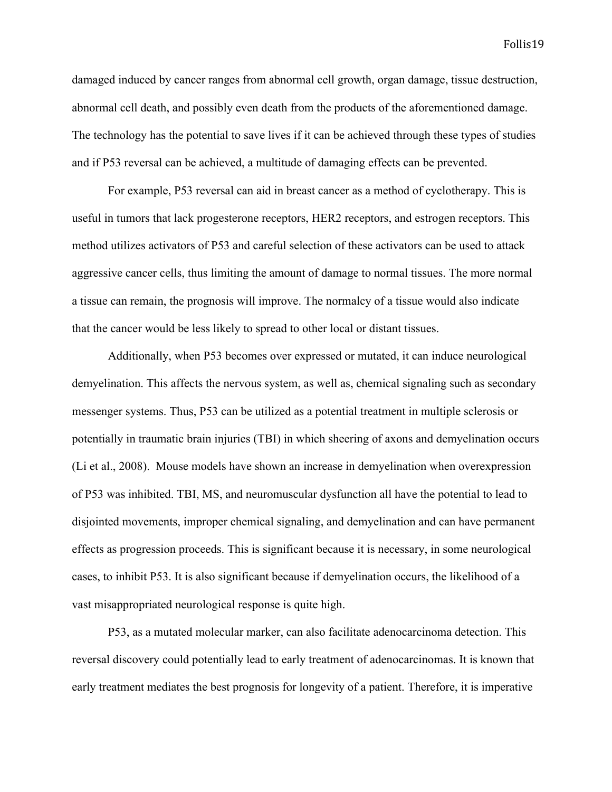damaged induced by cancer ranges from abnormal cell growth, organ damage, tissue destruction, abnormal cell death, and possibly even death from the products of the aforementioned damage. The technology has the potential to save lives if it can be achieved through these types of studies and if P53 reversal can be achieved, a multitude of damaging effects can be prevented.

For example, P53 reversal can aid in breast cancer as a method of cyclotherapy. This is useful in tumors that lack progesterone receptors, HER2 receptors, and estrogen receptors. This method utilizes activators of P53 and careful selection of these activators can be used to attack aggressive cancer cells, thus limiting the amount of damage to normal tissues. The more normal a tissue can remain, the prognosis will improve. The normalcy of a tissue would also indicate that the cancer would be less likely to spread to other local or distant tissues.

Additionally, when P53 becomes over expressed or mutated, it can induce neurological demyelination. This affects the nervous system, as well as, chemical signaling such as secondary messenger systems. Thus, P53 can be utilized as a potential treatment in multiple sclerosis or potentially in traumatic brain injuries (TBI) in which sheering of axons and demyelination occurs (Li et al., 2008). Mouse models have shown an increase in demyelination when overexpression of P53 was inhibited. TBI, MS, and neuromuscular dysfunction all have the potential to lead to disjointed movements, improper chemical signaling, and demyelination and can have permanent effects as progression proceeds. This is significant because it is necessary, in some neurological cases, to inhibit P53. It is also significant because if demyelination occurs, the likelihood of a vast misappropriated neurological response is quite high.

P53, as a mutated molecular marker, can also facilitate adenocarcinoma detection. This reversal discovery could potentially lead to early treatment of adenocarcinomas. It is known that early treatment mediates the best prognosis for longevity of a patient. Therefore, it is imperative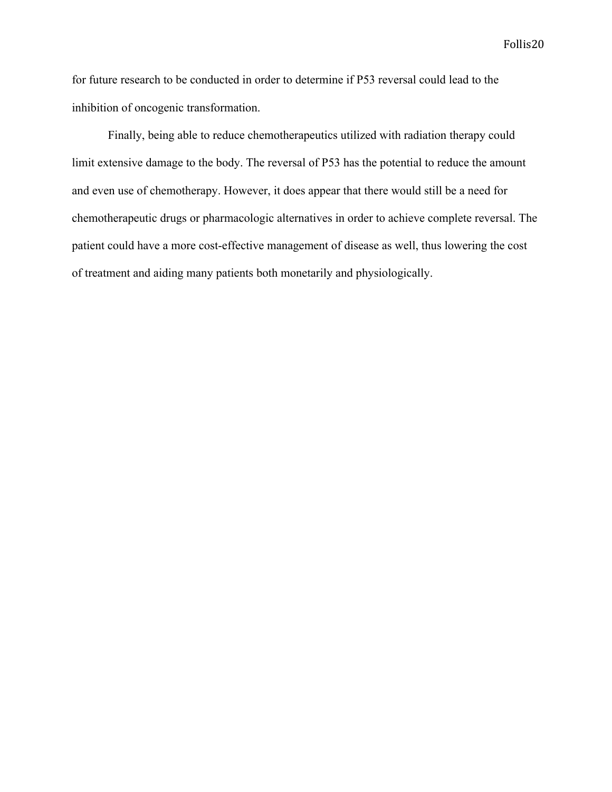for future research to be conducted in order to determine if P53 reversal could lead to the inhibition of oncogenic transformation.

Finally, being able to reduce chemotherapeutics utilized with radiation therapy could limit extensive damage to the body. The reversal of P53 has the potential to reduce the amount and even use of chemotherapy. However, it does appear that there would still be a need for chemotherapeutic drugs or pharmacologic alternatives in order to achieve complete reversal. The patient could have a more cost-effective management of disease as well, thus lowering the cost of treatment and aiding many patients both monetarily and physiologically.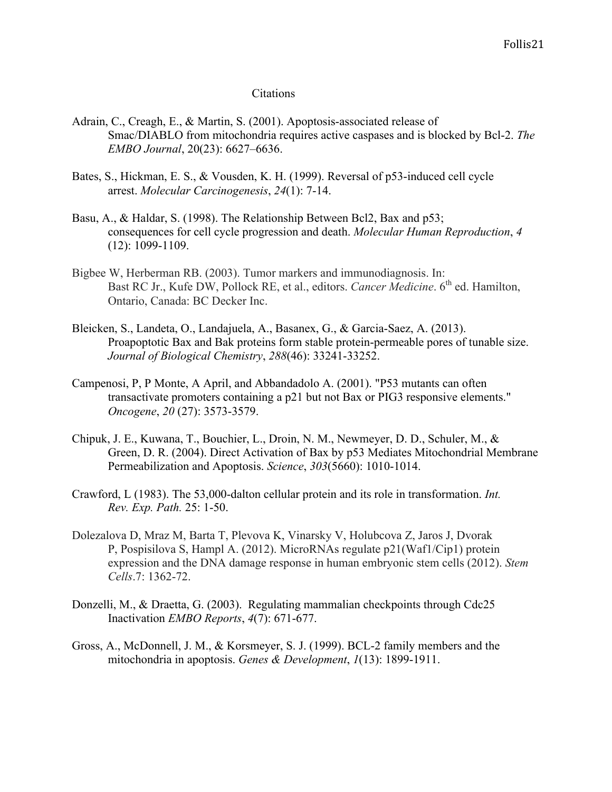#### **Citations**

- Adrain, C., Creagh, E., & Martin, S. (2001). Apoptosis-associated release of Smac/DIABLO from mitochondria requires active caspases and is blocked by Bcl-2. *The EMBO Journal*, 20(23): 6627–6636.
- Bates, S., Hickman, E. S., & Vousden, K. H. (1999). Reversal of p53-induced cell cycle arrest. *Molecular Carcinogenesis*, *24*(1): 7-14.
- Basu, A., & Haldar, S. (1998). The Relationship Between Bcl2, Bax and p53; consequences for cell cycle progression and death. *Molecular Human Reproduction*, *4* (12): 1099-1109.
- Bigbee W, Herberman RB. (2003). Tumor markers and immunodiagnosis. In: Bast RC Jr., Kufe DW, Pollock RE, et al., editors. *Cancer Medicine*. 6<sup>th</sup> ed. Hamilton, Ontario, Canada: BC Decker Inc.
- Bleicken, S., Landeta, O., Landajuela, A., Basanex, G., & Garcia-Saez, A. (2013). Proapoptotic Bax and Bak proteins form stable protein-permeable pores of tunable size. *Journal of Biological Chemistry*, *288*(46): 33241-33252.
- Campenosi, P, P Monte, A April, and Abbandadolo A. (2001). "P53 mutants can often transactivate promoters containing a p21 but not Bax or PIG3 responsive elements." *Oncogene*, *20* (27): 3573-3579.
- Chipuk, J. E., Kuwana, T., Bouchier, L., Droin, N. M., Newmeyer, D. D., Schuler, M., & Green, D. R. (2004). Direct Activation of Bax by p53 Mediates Mitochondrial Membrane Permeabilization and Apoptosis. *Science*, *303*(5660): 1010-1014.
- Crawford, L (1983). The 53,000-dalton cellular protein and its role in transformation. *Int. Rev. Exp. Path.* 25: 1-50.
- Dolezalova D, Mraz M, Barta T, Plevova K, Vinarsky V, Holubcova Z, Jaros J, Dvorak P, Pospisilova S, Hampl A. (2012). MicroRNAs regulate p21(Waf1/Cip1) protein expression and the DNA damage response in human embryonic stem cells (2012). *Stem Cells*.7: 1362-72.
- Donzelli, M., & Draetta, G. (2003). Regulating mammalian checkpoints through Cdc25 Inactivation *EMBO Reports*, *4*(7): 671-677.
- Gross, A., McDonnell, J. M., & Korsmeyer, S. J. (1999). BCL-2 family members and the mitochondria in apoptosis. *Genes & Development*, *1*(13): 1899-1911.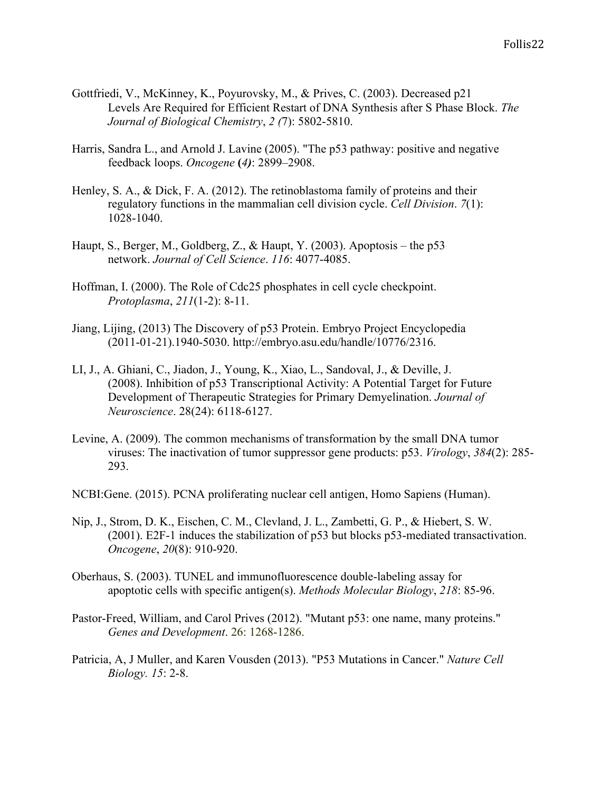- Gottfriedi, V., McKinney, K., Poyurovsky, M., & Prives, C. (2003). Decreased p21 Levels Are Required for Efficient Restart of DNA Synthesis after S Phase Block. *The Journal of Biological Chemistry*, *2 (*7): 5802-5810.
- Harris, Sandra L., and Arnold J. Lavine (2005). "The p53 pathway: positive and negative feedback loops. *Oncogene* **(***4)*: 2899–2908.
- Henley, S. A., & Dick, F. A. (2012). The retinoblastoma family of proteins and their regulatory functions in the mammalian cell division cycle. *Cell Division*. *7*(1): 1028-1040.
- Haupt, S., Berger, M., Goldberg, Z., & Haupt, Y. (2003). Apoptosis the p53 network. *Journal of Cell Science*. *116*: 4077-4085.
- Hoffman, I. (2000). The Role of Cdc25 phosphates in cell cycle checkpoint. *Protoplasma*, *211*(1-2): 8-11.
- Jiang, Lijing, (2013) The Discovery of p53 Protein. Embryo Project Encyclopedia (2011-01-21).1940-5030. http://embryo.asu.edu/handle/10776/2316.
- LI, J., A. Ghiani, C., Jiadon, J., Young, K., Xiao, L., Sandoval, J., & Deville, J. (2008). Inhibition of p53 Transcriptional Activity: A Potential Target for Future Development of Therapeutic Strategies for Primary Demyelination. *Journal of Neuroscience*. 28(24): 6118-6127.
- Levine, A. (2009). The common mechanisms of transformation by the small DNA tumor viruses: The inactivation of tumor suppressor gene products: p53. *Virology*, *384*(2): 285- 293.
- NCBI:Gene. (2015). PCNA proliferating nuclear cell antigen, Homo Sapiens (Human).
- Nip, J., Strom, D. K., Eischen, C. M., Clevland, J. L., Zambetti, G. P., & Hiebert, S. W. (2001). E2F-1 induces the stabilization of p53 but blocks p53-mediated transactivation. *Oncogene*, *20*(8): 910-920.
- Oberhaus, S. (2003). TUNEL and immunofluorescence double-labeling assay for apoptotic cells with specific antigen(s). *Methods Molecular Biology*, *218*: 85-96.
- Pastor-Freed, William, and Carol Prives (2012). "Mutant p53: one name, many proteins." *Genes and Development*. 26: 1268-1286.
- Patricia, A, J Muller, and Karen Vousden (2013). "P53 Mutations in Cancer." *Nature Cell Biology. 15*: 2-8.